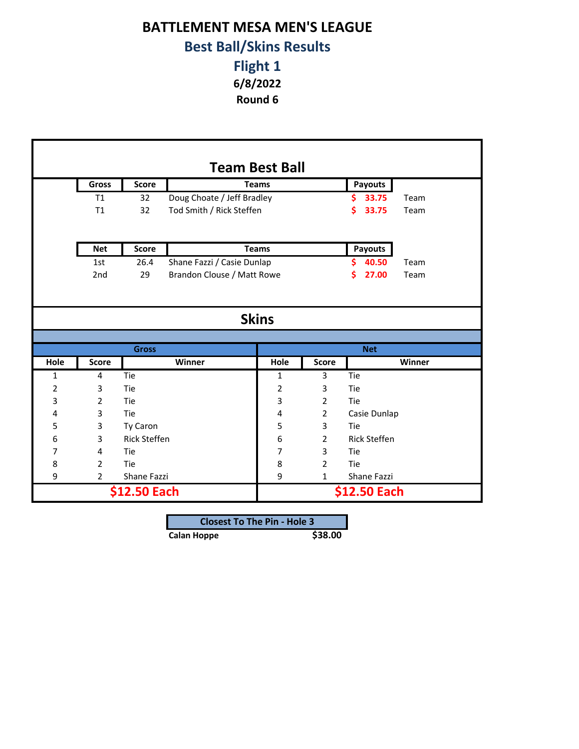## **BATTLEMENT MESA MEN'S LEAGUE Best Ball/Skins Results**

## **Flight 1 6/8/2022**

**Round 6**

|      |                 |                     | <b>Team Best Ball</b>      |                |                |                     |        |  |
|------|-----------------|---------------------|----------------------------|----------------|----------------|---------------------|--------|--|
|      | Gross           | <b>Score</b>        |                            | <b>Teams</b>   |                | Payouts             |        |  |
|      | T1              | 32                  | Doug Choate / Jeff Bradley |                |                | \$33.75             | Team   |  |
|      | T1              | 32                  | Tod Smith / Rick Steffen   |                |                | \$33.75             | Team   |  |
|      |                 |                     |                            |                |                |                     |        |  |
|      | <b>Net</b>      | <b>Score</b>        |                            | <b>Teams</b>   |                | <b>Payouts</b>      |        |  |
|      | 1st             | 26.4                | Shane Fazzi / Casie Dunlap |                |                | 40.50<br>Ś.         | Team   |  |
|      | 2 <sub>nd</sub> | 29                  | Brandon Clouse / Matt Rowe |                |                | 27.00<br>s          | Team   |  |
|      | <b>Skins</b>    |                     |                            |                |                |                     |        |  |
|      |                 |                     |                            |                |                |                     |        |  |
|      |                 | <b>Gross</b>        |                            |                |                | <b>Net</b>          |        |  |
| Hole | <b>Score</b>    |                     | Winner                     | Hole           | <b>Score</b>   |                     | Winner |  |
| 1    | 4               | Tie                 |                            | 1              | 3              | Tie                 |        |  |
| 2    | 3               | Tie                 |                            | $\overline{2}$ | 3              | Tie                 |        |  |
| 3    | $\overline{2}$  | Tie                 |                            | 3              | $\overline{2}$ | Tie                 |        |  |
| 4    | 3               | Tie                 |                            | 4              | $\overline{2}$ | Casie Dunlap        |        |  |
| 5    | 3               | Ty Caron            |                            | 5              | 3              | Tie                 |        |  |
| 6    | 3               | <b>Rick Steffen</b> |                            | 6              | $\overline{2}$ | <b>Rick Steffen</b> |        |  |
| 7    | 4               | Tie                 |                            | 7              | 3              | Tie                 |        |  |
| 8    | $\overline{2}$  | Tie                 |                            | 8              | $\overline{2}$ | Tie                 |        |  |
| 9    | $\overline{2}$  | Shane Fazzi         |                            | 9              | $\mathbf{1}$   | Shane Fazzi         |        |  |
|      |                 | \$12.50 Each        |                            |                |                | \$12.50 Each        |        |  |

| <b>Closest To The Pin - Hole 3</b> |  |  |  |
|------------------------------------|--|--|--|
| \$38.00<br>Calan Hoppe             |  |  |  |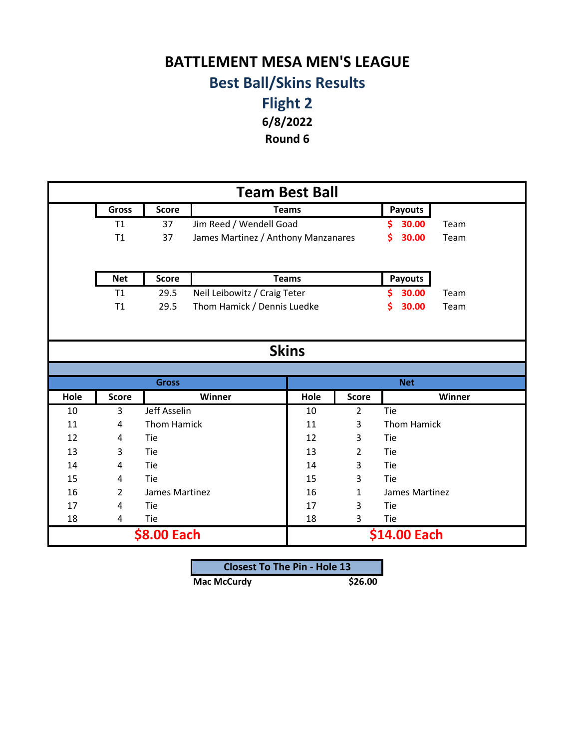## **BATTLEMENT MESA MEN'S LEAGUE Best Ball/Skins Results**

**Flight 2 6/8/2022**

**Round 6**

| <b>Team Best Ball</b> |                |                    |                                     |              |                |                    |        |  |  |
|-----------------------|----------------|--------------------|-------------------------------------|--------------|----------------|--------------------|--------|--|--|
|                       | <b>Gross</b>   | <b>Score</b>       |                                     | <b>Teams</b> |                | <b>Payouts</b>     |        |  |  |
|                       | T1             | 37                 | Jim Reed / Wendell Goad             |              |                | 30.00<br>S         | Team   |  |  |
|                       | T1             | 37                 | James Martinez / Anthony Manzanares |              |                | \$<br>30.00        | Team   |  |  |
|                       |                |                    |                                     |              |                |                    |        |  |  |
|                       | <b>Net</b>     | <b>Score</b>       |                                     | <b>Teams</b> |                | Payouts            |        |  |  |
|                       | T1             | 29.5               | Neil Leibowitz / Craig Teter        |              |                | \$.<br>30.00       | Team   |  |  |
|                       | T1             | 29.5               | Thom Hamick / Dennis Luedke         |              |                | \$<br>30.00        | Team   |  |  |
|                       |                |                    |                                     |              |                |                    |        |  |  |
|                       |                |                    |                                     |              |                |                    |        |  |  |
|                       |                |                    |                                     | <b>Skins</b> |                |                    |        |  |  |
|                       |                |                    |                                     |              |                |                    |        |  |  |
|                       |                | <b>Gross</b>       |                                     |              |                | <b>Net</b>         |        |  |  |
| Hole                  | <b>Score</b>   |                    | Winner                              | Hole         | <b>Score</b>   |                    | Winner |  |  |
| 10                    | $\overline{3}$ | Jeff Asselin       |                                     | 10           | $\overline{2}$ | Tie                |        |  |  |
| 11                    | 4              | <b>Thom Hamick</b> |                                     | 11           | 3              | <b>Thom Hamick</b> |        |  |  |
| 12                    | 4              | Tie                |                                     | 12           | 3              | Tie                |        |  |  |
| 13                    | 3              | Tie                |                                     | 13           | $\overline{2}$ | Tie                |        |  |  |
| 14                    | 4              | Tie                |                                     | 14           | 3              | Tie                |        |  |  |
| 15                    | 4              | Tie                |                                     | 15           | 3              | Tie                |        |  |  |
| 16                    | $\overline{2}$ | James Martinez     |                                     | 16           | 1              | James Martinez     |        |  |  |
| 17                    | 4              | Tie                |                                     | 17           | 3              | Tie                |        |  |  |
| 18                    | 4              | Tie                |                                     | 18           | 3              | Tie                |        |  |  |
|                       |                | \$8.00 Each        |                                     |              |                | \$14.00 Each       |        |  |  |

| <b>Closest To The Pin - Hole 13</b> |         |
|-------------------------------------|---------|
| <b>Mac McCurdy</b>                  | \$26.00 |